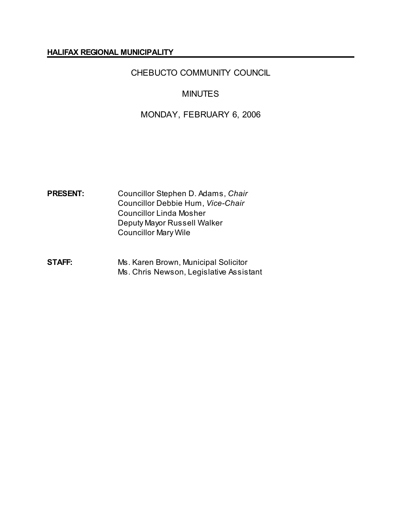#### **HALIFAX REGIONAL MUNICIPALITY**

# CHEBUCTO COMMUNITY COUNCIL

## **MINUTES**

## MONDAY, FEBRUARY 6, 2006

- **PRESENT:** Councillor Stephen D. Adams, *Chair* Councillor Debbie Hum, *Vice-Chair* Councillor Linda Mosher Deputy Mayor Russell Walker Councillor Mary Wile
- **STAFF:** Ms. Karen Brown, Municipal Solicitor Ms. Chris Newson, Legislative Assistant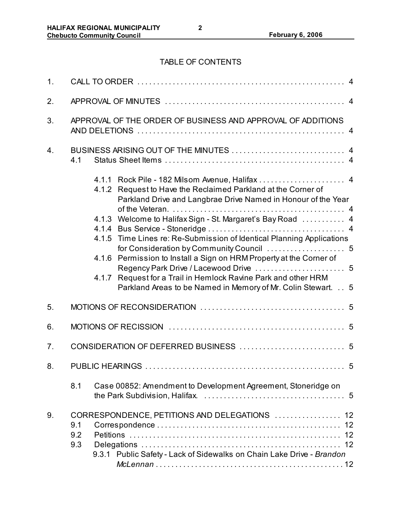# TABLE OF CONTENTS

| 1.             |                                                                                                                                                                                                                                                                                                                                                                                                                                                                                                                                                                       |
|----------------|-----------------------------------------------------------------------------------------------------------------------------------------------------------------------------------------------------------------------------------------------------------------------------------------------------------------------------------------------------------------------------------------------------------------------------------------------------------------------------------------------------------------------------------------------------------------------|
| 2.             |                                                                                                                                                                                                                                                                                                                                                                                                                                                                                                                                                                       |
| 3.             | APPROVAL OF THE ORDER OF BUSINESS AND APPROVAL OF ADDITIONS                                                                                                                                                                                                                                                                                                                                                                                                                                                                                                           |
| 4.             | 4.1                                                                                                                                                                                                                                                                                                                                                                                                                                                                                                                                                                   |
|                | 4.1.2 Request to Have the Reclaimed Parkland at the Corner of<br>Parkland Drive and Langbrae Drive Named in Honour of the Year<br>4.1.3 Welcome to Halifax Sign - St. Margaret's Bay Road  4<br>4.1.5 Time Lines re: Re-Submission of Identical Planning Applications<br>for Consideration by Community Council  5<br>4.1.6 Permission to Install a Sign on HRM Property at the Corner of<br>Regency Park Drive / Lacewood Drive  5<br>4.1.7 Request for a Trail in Hemlock Ravine Park and other HRM<br>Parkland Areas to be Named in Memory of Mr. Colin Stewart. 5 |
| 5.             |                                                                                                                                                                                                                                                                                                                                                                                                                                                                                                                                                                       |
| 6.             |                                                                                                                                                                                                                                                                                                                                                                                                                                                                                                                                                                       |
| 7 <sub>1</sub> |                                                                                                                                                                                                                                                                                                                                                                                                                                                                                                                                                                       |
| 8.             |                                                                                                                                                                                                                                                                                                                                                                                                                                                                                                                                                                       |
|                | 8.1<br>Case 00852: Amendment to Development Agreement, Stoneridge on                                                                                                                                                                                                                                                                                                                                                                                                                                                                                                  |
| 9.             | CORRESPONDENCE, PETITIONS AND DELEGATIONS  12<br>9.1<br>9.2<br>12<br>9.3<br>12<br>9.3.1 Public Safety - Lack of Sidewalks on Chain Lake Drive - Brandon                                                                                                                                                                                                                                                                                                                                                                                                               |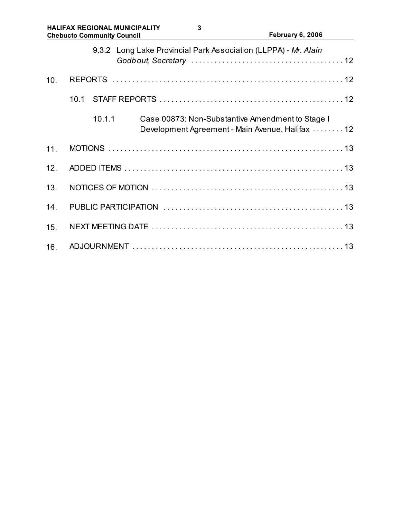|     | 9.3.2 Long Lake Provincial Park Association (LLPPA) - Mr. Alain                                                |
|-----|----------------------------------------------------------------------------------------------------------------|
| 10. |                                                                                                                |
|     | 10.1                                                                                                           |
|     | 10.1.1<br>Case 00873: Non-Substantive Amendment to Stage I<br>Development Agreement - Main Avenue, Halifax  12 |
| 11. |                                                                                                                |
| 12. |                                                                                                                |
| 13. |                                                                                                                |
| 14. |                                                                                                                |
| 15. |                                                                                                                |
| 16. |                                                                                                                |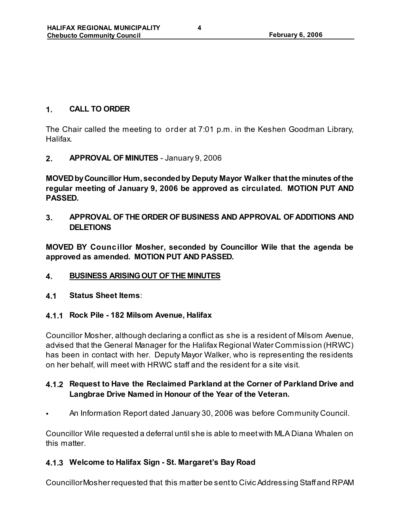### **1. CALL TO ORDER**

The Chair called the meeting to order at 7:01 p.m. in the Keshen Goodman Library, Halifax.

**2. APPROVAL OF MINUTES** - January 9, 2006

**MOVED by Councillor Hum, seconded by Deputy Mayor Walker that the minutes of the regular meeting of January 9, 2006 be approved as circulated. MOTION PUT AND PASSED.**

**3. APPROVAL OF THE ORDER OF BUSINESS AND APPROVAL OF ADDITIONS AND DELETIONS**

**MOVED BY Councillor Mosher, seconded by Councillor Wile that the agenda be approved as amended. MOTION PUT AND PASSED.** 

- **4. BUSINESS ARISING OUT OF THE MINUTES**
- **4.1 Status Sheet Items**:
- **4.1.1 Rock Pile 182 Milsom Avenue, Halifax**

Councillor Mosher, although declaring a conflict as she is a resident of Milsom Avenue, advised that the General Manager for the Halifax Regional Water Commission (HRWC) has been in contact with her. Deputy Mayor Walker, who is representing the residents on her behalf, will meet with HRWC staff and the resident for a site visit.

## **4.1.2 Request to Have the Reclaimed Parkland at the Corner of Parkland Drive and Langbrae Drive Named in Honour of the Year of the Veteran.**

• An Information Report dated January 30, 2006 was before Community Council.

Councillor Wile requested a deferral until she is able to meet with MLA Diana Whalen on this matter.

### **4.1.3 Welcome to Halifax Sign - St. Margaret's Bay Road**

Councillor Mosher requested that this matter be sent to Civic Addressing Staff and RPAM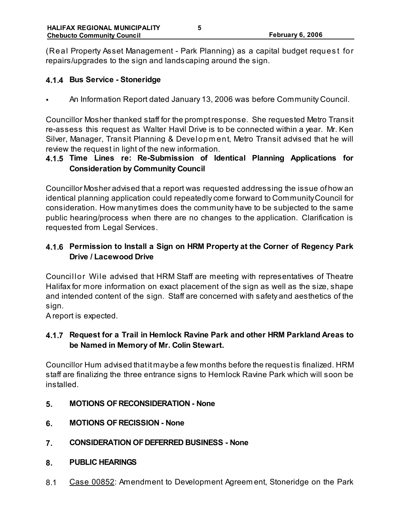(Real Property Asset Management - Park Planning) as a capital budget reques t for repairs/upgrades to the sign and landscaping around the sign.

#### **4.1.4 Bus Service - Stoneridge**

• An Information Report dated January 13, 2006 was before Community Council.

Councillor Mosher thanked staff for the prompt response. She requested Metro Transit re-assess this request as Walter Havil Drive is to be connected within a year. Mr. Ken Silver, Manager, Transit Planning & Developm ent, Metro Transit advised that he will review the request in light of the new information.

## **4.1.5 Time Lines re: Re-Submission of Identical Planning Applications for Consideration by Community Council**

Councillor Mosher advised that a report was requested addressing the issue of how an identical planning application could repeatedly come forward to Community Council for consideration. How many times does the community have to be subjected to the same public hearing/process when there are no changes to the application. Clarification is requested from Legal Services.

## **4.1.6 Permission to Install a Sign on HRM Property at the Corner of Regency Park Drive / Lacewood Drive**

Councillor Wile advised that HRM Staff are meeting with representatives of Theatre Halifax for more information on exact placement of the sign as well as the size, shape and intended content of the sign. Staff are concerned with safety and aesthetics of the sign.

A report is expected.

### **4.1.7 Request for a Trail in Hemlock Ravine Park and other HRM Parkland Areas to be Named in Memory of Mr. Colin Stewart.**

Councillor Hum advised that it may be a few months before the request is finalized. HRM staff are finalizing the three entrance signs to Hemlock Ravine Park which will soon be installed.

- **5. MOTIONS OF RECONSIDERATION None**
- **6. MOTIONS OF RECISSION None**
- **7. CONSIDERATION OF DEFERRED BUSINESS None**
- **8. PUBLIC HEARINGS**
- 8.1 Case 00852: Amendment to Development Agreem ent, Stoneridge on the Park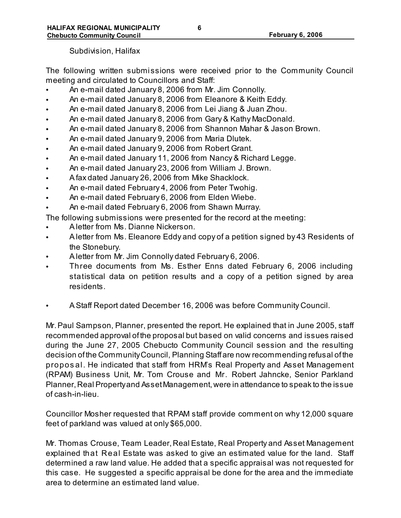Subdivision, Halifax

The following written submissions were received prior to the Community Council meeting and circulated to Councillors and Staff:

- An e-mail dated January 8, 2006 from Mr. Jim Connolly.
- An e-mail dated January 8, 2006 from Eleanore & Keith Eddy.
- An e-mail dated January 8, 2006 from Lei Jiang & Juan Zhou.
- An e-mail dated January 8, 2006 from Gary & Kathy MacDonald.
- An e-mail dated January 8, 2006 from Shannon Mahar & Jason Brown.
- An e-mail dated January 9, 2006 from Maria Dlutek.
- An e-mail dated January 9, 2006 from Robert Grant.
- An e-mail dated January 11, 2006 from Nancy & Richard Legge.
- An e-mail dated January 23, 2006 from William J. Brown.
- A fax dated January 26, 2006 from Mike Shacklock.
- An e-mail dated February 4, 2006 from Peter Twohig.
- An e-mail dated February 6, 2006 from Elden Wiebe.
- An e-mail dated February 6, 2006 from Shawn Murray.

The following submissions were presented for the record at the meeting:

- A letter from Ms. Dianne Nickerson.
- A letter from Ms. Eleanore Eddy and copy of a petition signed by 43 Residents of the Stonebury.
- A letter from Mr. Jim Connolly dated February 6, 2006.
- Three documents from Ms. Esther Enns dated February 6, 2006 including statistical data on petition results and a copy of a petition signed by area residents.
- A Staff Report dated December 16, 2006 was before Community Council.

Mr. Paul Sampson, Planner, presented the report. He explained that in June 2005, staff recommended approval of the proposal but based on valid concerns and issues raised during the June 27, 2005 Chebucto Community Council session and the resulting decision of the Community Council, Planning Staff are now recommending refusal of the propos al. He indicated that staff from HRM's Real Property and Asset Management (RPAM) Business Unit, Mr. Tom Crouse and Mr. Robert Jahncke, Senior Parkland Planner, Real Property and Asset Management, were in attendance to speak to the issue of cash-in-lieu.

Councillor Mosher requested that RPAM staff provide comment on why 12,000 square feet of parkland was valued at only \$65,000.

Mr. Thomas Crouse, Team Leader, Real Estate, Real Property and Asset Management explained that Real Estate was asked to give an estimated value for the land. Staff determined a raw land value. He added that a specific appraisal was not requested for this case. He suggested a specific appraisal be done for the area and the immediate area to determine an estimated land value.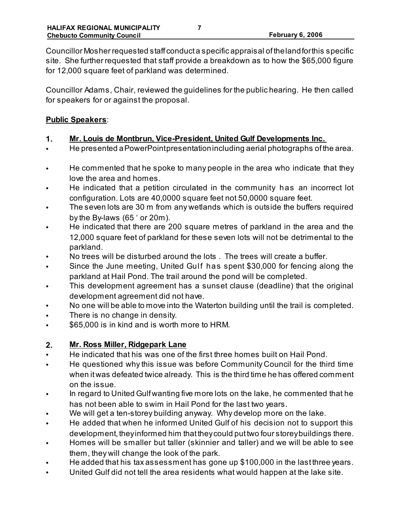Councillor Mosher requested staff conduct a specific appraisal of the land for this specific site. She further requested that staff provide a breakdown as to how the \$65,000 figure for 12,000 square feet of parkland was determined.

Councillor Adams, Chair, reviewed the guidelines for the public hearing. He then called for speakers for or against the proposal.

#### **Public Speakers**:

- **1. Mr. Louis de Montbrun, Vice-President, United Gulf Developments Inc.**
- He presented a PowerPoint presentation including aerial photographs of the area.
- He commented that he spoke to many people in the area who indicate that they love the area and homes.
- He indicated that a petition circulated in the community has an incorrect lot configuration. Lots are 40,0000 square feet not 50,0000 square feet.
- The seven lots are 30 m from any wetlands which is outside the buffers required by the By-laws (65 ' or 20m).
- He indicated that there are 200 square metres of parkland in the area and the 12,000 square feet of parkland for these seven lots will not be detrimental to the parkland.
- No trees will be disturbed around the lots . The trees will create a buffer.
- Since the June meeting, United Gulf has spent \$30,000 for fencing along the parkland at Hail Pond. The trail around the pond will be completed.
- This development agreement has a sunset clause (deadline) that the original development agreement did not have.
- No one will be able to move into the Waterton building until the trail is completed.
- There is no change in density.
- \$65,000 is in kind and is worth more to HRM.

# **2. Mr. Ross Miller, Ridgepark Lane**

- He indicated that his was one of the first three homes built on Hail Pond.
- He questioned why this issue was before Community Council for the third time when it was defeated twice already. This is the third time he has offered comment on the issue.
- In regard to United Gulf wanting five more lots on the lake, he commented that he has not been able to swim in Hail Pond for the last two years.
- We will get a ten-storey building anyway. Why develop more on the lake.
- He added that when he informed United Gulf of his decision not to support this development, they informed him that they could put two four storey buildings there.
- Homes will be smaller but taller (skinnier and taller) and we will be able to see them, they will change the look of the park.
- He added that his tax assessment has gone up \$100,000 in the last three years.
- United Gulf did not tell the area residents what would happen at the lake site.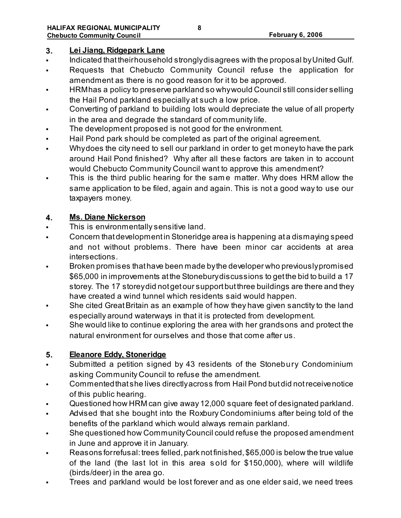### **3. Lei Jiang, Ridgepark Lane**

- Indicated that their household strongly disagrees with the proposal by United Gulf.
- Requests that Chebucto Community Council refuse the application for amendment as there is no good reason for it to be approved.
- HRM has a policy to preserve parkland so why would Council still consider selling the Hail Pond parkland especially at such a low price.
- Converting of parkland to building lots would depreciate the value of all property in the area and degrade the standard of community life.
- The development proposed is not good for the environment.
- Hail Pond park should be completed as part of the original agreement.
- Why does the city need to sell our parkland in order to get money to have the park around Hail Pond finished? Why after all these factors are taken in to account would Chebucto Community Council want to approve this amendment?
- This is the third public hearing for the same matter. Why does HRM allow the same application to be filed, again and again. This is not a good way to use our taxpayers money.

### **4. Ms. Diane Nickerson**

- This is environmentally sensitive land.
- Concern that development in Stoneridge area is happening at a dismaying speed and not without problems. There have been minor car accidents at area intersections.
- Broken promises that have been made by the developer who previously promised \$65,000 in improvements at the Stonebury discussions to get the bid to build a 17 storey. The 17 storey did not get our support but three buildings are there and they have created a wind tunnel which residents said would happen.
- She cited Great Britain as an example of how they have given sanctity to the land especially around waterways in that it is protected from development.
- She would like to continue exploring the area with her grandsons and protect the natural environment for ourselves and those that come after us.

# **5. Eleanore Eddy, Stoneridge**

- Submitted a petition signed by 43 residents of the Stonebury Condominium asking Community Council to refuse the amendment.
- Commented that she lives directly across from Hail Pond but did not receive notice of this public hearing.
- Questioned how HRM can give away 12,000 square feet of designated parkland.
- Advised that she bought into the Roxbury Condominiums after being told of the benefits of the parkland which would always remain parkland.
- She questioned how Community Council could refuse the proposed amendment in June and approve it in January.
- Reasons for refusal: trees felled, park not finished, \$65,000 is below the true value of the land (the last lot in this area s old for \$150,000), where will wildlife (birds/deer) in the area go.
- Trees and parkland would be lost forever and as one elder said, we need trees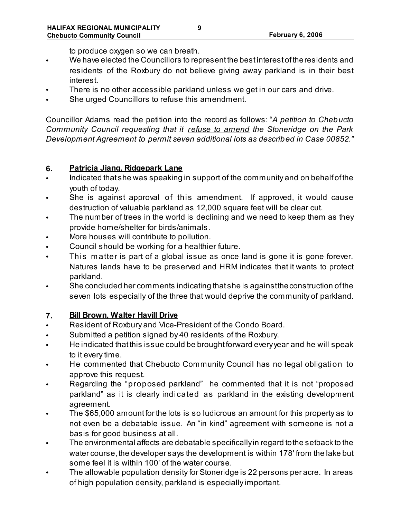to produce oxygen so we can breath.

- We have elected the Councillors to represent the best interest of the residents and residents of the Roxbury do not believe giving away parkland is in their best interest.
- There is no other accessible parkland unless we get in our cars and drive.
- She urged Councillors to refuse this amendment.

Councillor Adams read the petition into the record as follows: "*A petition to Chebucto Community Council requesting that it refuse to amend the Stoneridge on the Park Development Agreement to permit seven additional lots as described in Case 00852."*

### **6. Patricia Jiang, Ridgepark Lane**

- Indicated that she was speaking in support of the community and on behalf of the youth of today.
- She is against approval of this amendment. If approved, it would cause destruction of valuable parkland as 12,000 square feet will be clear cut.
- The number of trees in the world is declining and we need to keep them as they provide home/shelter for birds/animals.
- More houses will contribute to pollution.
- Council should be working for a healthier future.
- This matter is part of a global issue as once land is gone it is gone forever. Natures lands have to be preserved and HRM indicates that it wants to protect parkland.
- She concluded her comments indicating that she is against the construction of the seven lots especially of the three that would deprive the community of parkland.

# **7. Bill Brown, Walter Havill Drive**

- Resident of Roxbury and Vice-President of the Condo Board.
- Submitted a petition signed by 40 residents of the Roxbury.
- He indicated that this issue could be brought forward every year and he will speak to it every time.
- He commented that Chebucto Community Council has no legal obligation to approve this request.
- Regarding the "proposed parkland" he commented that it is not "proposed parkland" as it is clearly indicated as parkland in the existing development agreement.
- The \$65,000 amount for the lots is so ludicrous an amount for this property as to not even be a debatable issue. An "in kind" agreement with someone is not a basis for good business at all.
- The environmental affects are debatable specifically in regard to the setback to the water course, the developer says the development is within 178' from the lake but some feel it is within 100' of the water course.
- The allowable population density for Stoneridge is 22 persons per acre. In areas of high population density, parkland is especially important.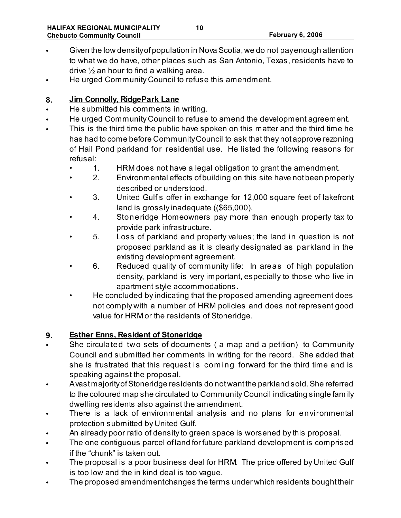- Given the low density of population in Nova Scotia, we do not pay enough attention to what we do have, other places such as San Antonio, Texas, residents have to drive ½ an hour to find a walking area.
- He urged Community Council to refuse this amendment.

### **8. Jim Connolly, RidgePark Lane**

- He submitted his comments in writing.
- He urged Community Council to refuse to amend the development agreement.
- This is the third time the public have spoken on this matter and the third time he has had to come before Community Council to ask that they not approve rezoning of Hail Pond parkland for residential use. He listed the following reasons for refusal:
	- 1. HRM does not have a legal obligation to grant the amendment.
	- 2. Environmental effects of building on this site have not been properly described or understood.
	- 3. United Gulf's offer in exchange for 12,000 square feet of lakefront land is grossly inadequate ((\$65,000).
	- 4. Stoneridge Homeowners pay more than enough property tax to provide park infrastructure.
	- 5. Loss of parkland and property values; the land in question is not proposed parkland as it is clearly designated as parkland in the existing development agreement.
	- 6. Reduced quality of community life: In areas of high population density, parkland is very important, especially to those who live in apartment style accommodations.
	- He concluded by indicating that the proposed amending agreement does not comply with a number of HRM policies and does not represent good value for HRM or the residents of Stoneridge.

### **9. Esther Enns, Resident of Stoneridge**

- She circulated two sets of documents (a map and a petition) to Community Council and submitted her comments in writing for the record. She added that she is frustrated that this request is com ing forward for the third time and is speaking against the proposal.
- A vast majority of Stoneridge residents do not want the parkland sold. She referred to the coloured map she circulated to Community Council indicating single family dwelling residents also against the amendment.
- There is a lack of environmental analysis and no plans for environmental protection submitted by United Gulf.
- An already poor ratio of density to green space is worsened by this proposal.
- The one contiguous parcel of land for future parkland development is comprised if the "chunk" is taken out.
- The proposal is a poor business deal for HRM. The price offered by United Gulf is too low and the in kind deal is too vague.
- The proposed amendment changes the terms under which residents bought their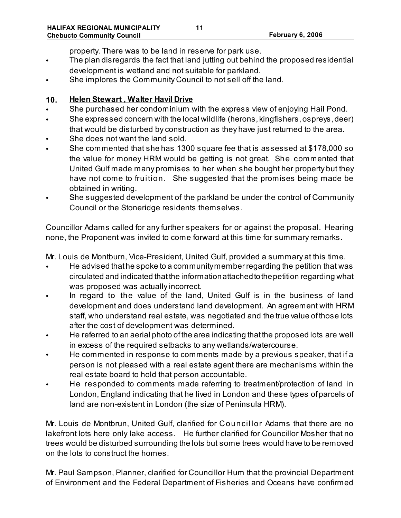property. There was to be land in reserve for park use.

- The plan disregards the fact that land jutting out behind the proposed residential development is wetland and not suitable for parkland.
- She implores the Community Council to not sell off the land.

#### **10. Helen Stewart , Walter Havil Drive**

- She purchased her condominium with the express view of enjoying Hail Pond.
- She expressed concern with the local wildlife (herons, kingfishers, ospreys, deer) that would be disturbed by construction as they have just returned to the area.
- She does not want the land sold.
- She commented that she has 1300 square fee that is assessed at \$178,000 so the value for money HRM would be getting is not great. She commented that United Gulf made many promises to her when she bought her property but they have not come to fruition. She suggested that the promises being made be obtained in writing.
- She suggested development of the parkland be under the control of Community Council or the Stoneridge residents themselves.

Councillor Adams called for any further speakers for or against the proposal. Hearing none, the Proponent was invited to come forward at this time for summary remarks.

Mr. Louis de Montburn, Vice-President, United Gulf, provided a summary at this time.

- He advised that he spoke to a community member regarding the petition that was circulated and indicated that the information attached to the petition regarding what was proposed was actually incorrect.
- In regard to the value of the land, United Gulf is in the business of land development and does understand land development. An agreement with HRM staff, who understand real estate, was negotiated and the true value of those lots after the cost of development was determined.
- He referred to an aerial photo of the area indicating that the proposed lots are well in excess of the required setbacks to any wetlands/watercourse.
- He commented in response to comments made by a previous speaker, that if a person is not pleased with a real estate agent there are mechanisms within the real estate board to hold that person accountable.
- He responded to comments made referring to treatment/protection of land in London, England indicating that he lived in London and these types of parcels of land are non-existent in London (the size of Peninsula HRM).

Mr. Louis de Montbrun, United Gulf, clarified for Councillor Adams that there are no lakefront lots here only lake access. He further clarified for Councillor Mosher that no trees would be disturbed surrounding the lots but some trees would have to be removed on the lots to construct the homes.

Mr. Paul Sampson, Planner, clarified for Councillor Hum that the provincial Department of Environment and the Federal Department of Fisheries and Oceans have confirmed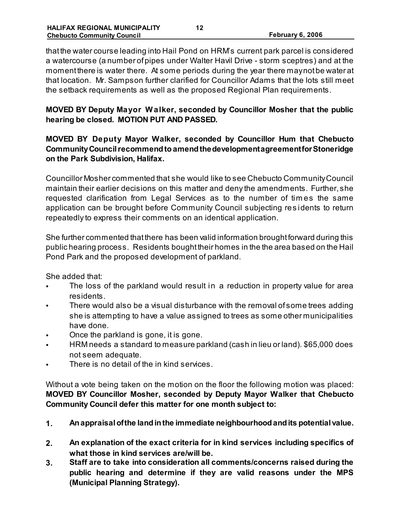that the water course leading into Hail Pond on HRM's current park parcel is considered a watercourse (a number of pipes under Walter Havil Drive - storm sceptres) and at the moment there is water there. At some periods during the year there may not be water at that location. Mr. Sampson further clarified for Councillor Adams that the lots still meet the setback requirements as well as the proposed Regional Plan requirements.

**MOVED BY Deputy Mayor W alker, seconded by Councillor Mosher that the public hearing be closed. MOTION PUT AND PASSED.** 

### **MOVED BY Deputy Mayor Walker, seconded by Councillor Hum that Chebucto Community Council recommend to amend the development agreement for Stoneridge on the Park Subdivision, Halifax.**

Councillor Mosher commented that she would like to see Chebucto Community Council maintain their earlier decisions on this matter and deny the amendments. Further, she requested clarification from Legal Services as to the number of tim es the same application can be brought before Community Council subjecting res idents to return repeatedly to express their comments on an identical application.

She further commented that there has been valid information brought forward during this public hearing process. Residents bought their homes in the the area based on the Hail Pond Park and the proposed development of parkland.

She added that:

- The loss of the parkland would result in a reduction in property value for area residents.
- There would also be a visual disturbance with the removal of some trees adding she is attempting to have a value assigned to trees as some other municipalities have done.
- Once the parkland is gone, it is gone.
- HRM needs a standard to measure parkland (cash in lieu or land). \$65,000 does not seem adequate.
- There is no detail of the in kind services.

Without a vote being taken on the motion on the floor the following motion was placed: **MOVED BY Councillor Mosher, seconded by Deputy Mayor Walker that Chebucto Community Council defer this matter for one month subject to:**

- **1. An appraisal of the land in the immediate neighbourhood and its potential value.**
- **2. An explanation of the exact criteria for in kind services including specifics of what those in kind services are/will be.**
- **3. Staff are to take into consideration all comments/concerns raised during the public hearing and determine if they are valid reasons under the MPS (Municipal Planning Strategy).**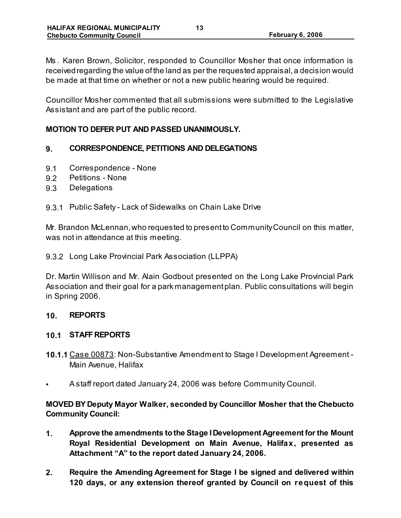Ms . Karen Brown, Solicitor, responded to Councillor Mosher that once information is received regarding the value of the land as per the requested appraisal, a decision would be made at that time on whether or not a new public hearing would be required.

Councillor Mosher commented that all submissions were submitted to the Legislative Assistant and are part of the public record.

#### **MOTION TO DEFER PUT AND PASSED UNANIMOUSLY.**

#### **9. CORRESPONDENCE, PETITIONS AND DELEGATIONS**

- 9.1 Correspondence None
- 9.2 Petitions None
- 9.3 Delegations
- 9.3.1 Public Safety Lack of Sidewalks on Chain Lake Drive

Mr. Brandon McLennan, who requested to present to Community Council on this matter, was not in attendance at this meeting.

#### 9.3.2 Long Lake Provincial Park Association (LLPPA)

Dr. Martin Willison and Mr. Alain Godbout presented on the Long Lake Provincial Park Association and their goal for a park management plan. Public consultations will begin in Spring 2006.

#### **10. REPORTS**

#### **10.1 STAFF REPORTS**

- **10.1.1** Case 00873: Non-Substantive Amendment to Stage I Development Agreement Main Avenue, Halifax
- A staff report dated January 24, 2006 was before Community Council.

**MOVED BY Deputy Mayor Walker, seconded by Councillor Mosher that the Chebucto Community Council:**

- **1. Approve the amendments to the Stage I Development Agreement for the Mount Royal Residential Development on Main Avenue, Halifax, presented as Attachment "A" to the report dated January 24, 2006.**
- **2. Require the Amending Agreement for Stage I be signed and delivered within 120 days, or any extension thereof granted by Council on request of this**